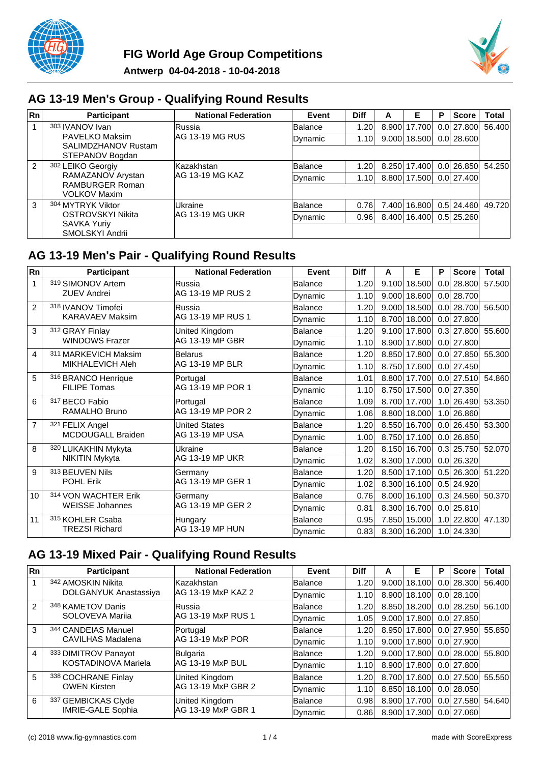



### **AG 13-19 Men's Group - Qualifying Round Results**

| Rn | <b>Participant</b>                     | <b>National Federation</b> | Event   | <b>Diff</b> | А     | Е            | D | <b>Score</b>   | <b>Total</b>      |
|----|----------------------------------------|----------------------------|---------|-------------|-------|--------------|---|----------------|-------------------|
|    | 303 IVANOV Ivan                        | <b>Russia</b>              | Balance | 1.20        | 8.900 | 17.700       |   | 0.0 27.800     | 56.400            |
|    | PAVELKO Maksim                         | IAG 13-19 MG RUS           | Dynamic | 1.10        | 9.000 | 18.500       |   | 0.0128,6001    |                   |
|    | SALIMDZHANOV Rustam<br>STEPANOV Bogdan |                            |         |             |       |              |   |                |                   |
| 2  | 302 LEIKO Georgiy                      | lKazakhstan                | Balance | 1.20        |       | 8.250 17.400 |   |                | 0.0 26.850 54.250 |
|    | RAMAZANOV Arystan                      | IAG 13-19 MG KAZ           | Dynamic | 1.10        |       | 8.800 17.500 |   | 0.0 27.400     |                   |
|    | RAMBURGER Roman<br><b>VOLKOV Maxim</b> |                            |         |             |       |              |   |                |                   |
| 3  | 304 MYTRYK Viktor                      | lUkraine                   | Balance | 0.76        | 7.400 | 16.800       |   | $0.5$ 24.460   | 49.720            |
|    | OSTROVSKYI Nikita                      | IAG 13-19 MG UKR           | Dynamic | 0.96        |       | 8.400 16.400 |   | $0.5$   25.260 |                   |
|    | <b>SAVKA Yuriy</b><br>SMOLSKYI Andrii  |                            |         |             |       |              |   |                |                   |

### **AG 13-19 Men's Pair - Qualifying Round Results**

| Rn                      | <b>Participant</b>       | <b>National Federation</b> | Event           | <b>Diff</b> | A     | E            | Р   | <b>Score</b>   | <b>Total</b> |
|-------------------------|--------------------------|----------------------------|-----------------|-------------|-------|--------------|-----|----------------|--------------|
| 1                       | 319 SIMONOV Artem        | Russia                     | Balance         | 1.20        | 9.100 | 18.500       | 0.0 | 28.800         | 57.500       |
|                         | <b>ZUEV Andrei</b>       | AG 13-19 MP RUS 2          | <b>D</b> vnamic | 1.10        | 9.000 | 18.600       |     | $0.0$ 28.700   |              |
| $\overline{2}$          | 318 IVANOV Timofei       | Russia                     | Balance         | 1.20        | 9.000 | 18.500       |     | $0.0$   28.700 | 56,500       |
|                         | <b>KARAVAEV Maksim</b>   | AG 13-19 MP RUS 1          | Dynamic         | 1.10        | 8.700 | 18.000       |     | $0.0$ 27.800   |              |
| 3                       | 312 GRAY Finlay          | United Kingdom             | <b>Balance</b>  | 1.20        | 9.100 | 17.800       |     | $0.3$ 27.800   | 55.600       |
|                         | <b>WINDOWS Frazer</b>    | AG 13-19 MP GBR            | Dynamic         | 1.10        |       | 8.900 17.800 |     | $0.0$ 27.800   |              |
| $\overline{\mathbf{4}}$ | 311 MARKEVICH Maksim     | <b>Belarus</b>             | Balance         | 1.20        | 8.850 | 17.800       |     | $0.0$ 27.850   | 55,300       |
|                         | MIKHALEVICH Aleh         | AG 13-19 MP BLR            | Dynamic         | 1.10        | 8.750 | 17.600       |     | $0.0$ 27.450   |              |
| 5                       | 316 BRANCO Henrique      | Portugal                   | <b>Balance</b>  | 1.01        | 8.800 | 17.700       |     | $0.0$ 27.510   | 54,860       |
|                         | <b>FILIPE Tomas</b>      | AG 13-19 MP POR 1          | Dynamic         | 1.10        |       | 8.750 17.500 |     | $0.0$ 27.350   |              |
| 6                       | 317 BECO Fabio           | Portugal                   | Balance         | 1.09        |       | 8.700 17.700 |     | $1.0$ 26.490   | 53.350       |
|                         | RAMALHO Bruno            | AG 13-19 MP POR 2          | Dynamic         | 1.06        |       | 8.800 18.000 |     | 1.0 26.860     |              |
| $\overline{7}$          | 321 FELIX Angel          | <b>United States</b>       | Balance         | 1.20        | 8.550 | 16.700       |     | $0.0$ 26.450   | 53,300       |
|                         | <b>MCDOUGALL Braiden</b> | AG 13-19 MP USA            | Dynamic         | 1.00        |       | 8.750 17.100 |     | $0.0$ 26.850   |              |
| 8                       | 320 LUKAKHIN Mykyta      | Ukraine                    | Balance         | 1.20        | 8.150 | 16.700       |     | $0.3$ 25.750   | 52.070       |
|                         | NIKITIN Mykyta           | AG 13-19 MP UKR            | Dynamic         | 1.02        |       | 8.300 17.000 |     | $0.0$ 26.320   |              |
| 9                       | 313 BEUVEN Nils          | Germany                    | Balance         | 1.20        | 8.500 | 17.100       | 0.5 | 26.300         | 51.220       |
|                         | <b>POHL Erik</b>         | AG 13-19 MP GER 1          | Dynamic         | 1.02        | 8.300 | 16.100       |     | $0.5$ 24.920   |              |
| 10                      | 314 VON WACHTER Erik     | Germany                    | Balance         | 0.76        | 8.000 | 16.100       |     | $0.3$ 24.560   | 50,370       |
|                         | <b>WEISSE Johannes</b>   | AG 13-19 MP GER 2          | Dynamic         | 0.81        | 8.300 | 16.700       |     | $0.0$ 25.810   |              |
| 11                      | 315 KOHLER Csaba         | Hungary                    | Balance         | 0.95        | 7.850 | 15.000       |     | $1.0$ 22.800   | 47.130       |
|                         | <b>TREZSI Richard</b>    | <b>AG 13-19 MP HUN</b>     | Dynamic         | 0.83        |       | 8.300 16.200 |     | 1.0 24.330     |              |

# **AG 13-19 Mixed Pair - Qualifying Round Results**

| Rn            | <b>Participant</b>         | <b>National Federation</b> | Event          | <b>Diff</b> | A     | Ε            | P    | <b>Score</b>   | Total  |
|---------------|----------------------------|----------------------------|----------------|-------------|-------|--------------|------|----------------|--------|
|               | 342 AMOSKIN Nikita         | lKazakhstan                | lBalance       | 1.20        |       | 9.000 18.100 | 0.01 | 28.300         | 56.400 |
|               | DOLGANYUK Anastassiya      | AG 13-19 MxP KAZ 2         | Dynamic        | 1.10        |       | 8.900 18.100 |      | 0.0 28.100     |        |
| $\mathcal{P}$ | 348 KAMETOV Danis          | lRussia                    | lBalance       | 1.20        |       | 8.850 18.200 |      | $0.0$   28.250 | 56.100 |
|               | SOLOVEVA Marija            | IAG 13-19 MxP RUS 1        | Dynamic        | 1.05        |       | 9.000 17.800 |      | 0.0127.850     |        |
| 3             | 344 CANDEIAS Manuel        | Portugal                   | lBalance       | 1.20        |       | 8.950 17.800 |      | 0.0127.950     | 55.850 |
|               | <b>CAVILHAS Madalena</b>   | IAG 13-19 MxP POR          | Dynamic        | 1.10        |       | 9.000 17.800 |      | 0.0 27.900     |        |
| 4             | 333 DIMITROV Panayot       | Bulgaria                   | lBalance       | 1.20        |       | 9.000 17.800 |      | 0.0128,0001    | 55.800 |
|               | <b>KOSTADINOVA Mariela</b> | AG 13-19 MxP BUL           | Dynamic        | 1.10        |       | 8.900 17.800 |      | 0.0 27.800     |        |
| 5             | 338 COCHRANE Finlay        | United Kingdom             | <b>Balance</b> | 1.20        |       | 8.700 17.600 |      | 0.0127.5001    | 55.550 |
|               | <b>OWEN Kirsten</b>        | AG 13-19 MxP GBR 2         | Dynamic        | 1.10        |       | 8.850 18.100 |      | 0.0128.050     |        |
| 6             | 337 GEMBICKAS Clyde        | United Kingdom             | Balance        | 0.98        | 8.900 | 17.700       | 0.01 | 27.580         | 54.640 |
|               | <b>IMRIE-GALE Sophia</b>   | AG 13-19 MxP GBR 1         | Dynamic        | 0.86        |       | 8.900 17.300 |      | 0.0 27.060     |        |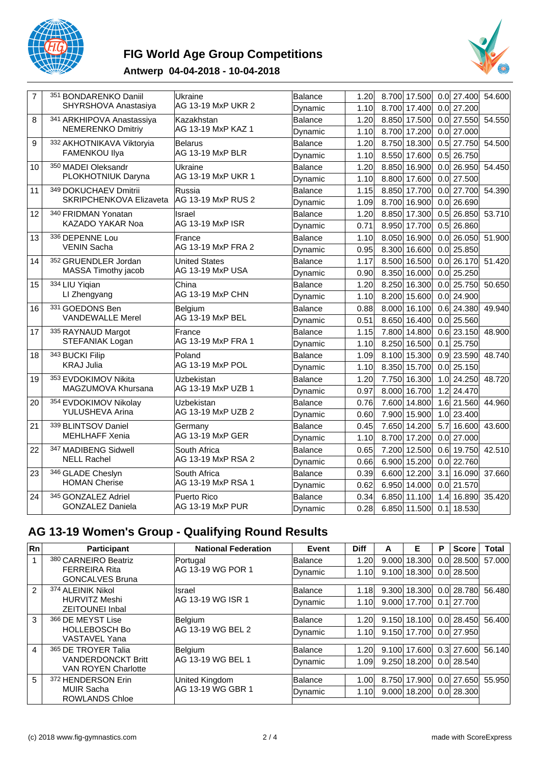

# **FIG World Age Group Competitions**



#### **Antwerp 04-04-2018 - 10-04-2018**

| $\overline{7}$ | 351 BONDARENKO Daniil     | Ukraine                 | Balance | 1.20 | 8.700 17.500    | $0.0$ 27.400            | 54.600 |
|----------------|---------------------------|-------------------------|---------|------|-----------------|-------------------------|--------|
|                | SHYRSHOVA Anastasiya      | AG 13-19 MxP UKR 2      | Dynamic | 1.10 | 8.700 17.400    | $0.0$ 27.200            |        |
| 8              | 341 ARKHIPOVA Anastassiya | Kazakhstan              | Balance | 1.20 | 8.850<br>17.500 | $0.0$ 27.550            | 54.550 |
|                | <b>NEMERENKO Dmitriy</b>  | AG 13-19 MxP KAZ 1      | Dynamic | 1.10 | 17.200<br>8.700 | 27.000<br>0.0           |        |
| 9              | 332 AKHOTNIKAVA Viktoryia | Belarus                 | Balance | 1.20 | 18.300<br>8.750 | $0.5$ 27.750            | 54.500 |
|                | FAMENKOU Ilya             | AG 13-19 MxP BLR        | Dynamic | 1.10 | 17.600<br>8.550 | $0.5$ 26.750            |        |
| 10             | 350 MADEI Oleksandr       | Ukraine                 | Balance | 1.20 | 8.850 16.900    | $0.0$ 26.950            | 54.450 |
|                | PLOKHOTNIUK Daryna        | AG 13-19 MxP UKR 1      | Dynamic | 1.10 | 8.800 17.600    | $0.0$ 27.500            |        |
| 11             | 349 DOKUCHAEV Dmitrii     | Russia                  | Balance | 1.15 | 8.850 17.700    | $0.0$ 27.700            | 54.390 |
|                | SKRIPCHENKOVA Elizaveta   | AG 13-19 MxP RUS 2      | Dynamic | 1.09 | 8.700 16.900    | $\overline{0.0}$ 26.690 |        |
| 12             | 340 FRIDMAN Yonatan       | Israel                  | Balance | 1.20 | 8.850 17.300    | $0.5$ 26.850            | 53.710 |
|                | KAZADO YAKAR Noa          | <b>AG 13-19 MxP ISR</b> | Dynamic | 0.71 | 8.950<br>17.700 | $0.5$ 26.860            |        |
| 13             | 336 DEPENNE Lou           | France                  | Balance | 1.10 | 8.050<br>16.900 | $0.0$ 26.050            | 51.900 |
|                | <b>VENIN Sacha</b>        | AG 13-19 MxP FRA 2      | Dynamic | 0.95 | 8.300<br>16.600 | $0.0$ 25.850            |        |
| 14             | 352 GRUENDLER Jordan      | <b>United States</b>    | Balance | 1.17 | 16.500<br>8.500 | $0.0$ 26.170            | 51.420 |
|                | MASSA Timothy jacob       | AG 13-19 MxP USA        | Dynamic | 0.90 | 8.350<br>16.000 | $0.0$ 25.250            |        |
| 15             | 334 LIU Yiqian            | China                   | Balance | 1.20 | 8.250 16.300    | $0.0$ 25.750            | 50.650 |
|                | LI Zhengyang              | AG 13-19 MxP CHN        | Dynamic | 1.10 | 8.200 15.600    | $0.0$ 24.900            |        |
| 16             | 331 GOEDONS Ben           | Belgium                 | Balance | 0.88 | 8.000 16.100    | $0.6$ 24.380            | 49.940 |
|                | <b>VANDEWALLE Merel</b>   | AG 13-19 MxP BEL        | Dynamic | 0.51 | 8.650 16.400    | $0.0$ 25.560            |        |
| 17             | 335 RAYNAUD Margot        | France                  | Balance | 1.15 | 7.800<br>14.800 | $0.6$ 23.150            | 48.900 |
|                | <b>STEFANIAK Logan</b>    | AG 13-19 MxP FRA 1      | Dynamic | 1.10 | 16.500<br>8.250 | 25.750<br>0.1           |        |
| 18             | 343 BUCKI Filip           | Poland                  | Balance | 1.09 | 8.100<br>15.300 | $0.9$ 23.590            | 48.740 |
|                | <b>KRAJ Julia</b>         | AG 13-19 MxP POL        | Dynamic | 1.10 | 8.350 15.700    | $0.0$ 25.150            |        |
| 19             | 353 EVDOKIMOV Nikita      | Uzbekistan              | Balance | 1.20 | 7.750 16.300    | $1.0$ 24.250            | 48.720 |
|                | MAGZUMOVA Khursana        | AG 13-19 MxP UZB 1      | Dynamic | 0.97 | 8.000 16.700    | 1.2 24.470              |        |
| 20             | 354 EVDOKIMOV Nikolay     | Uzbekistan              | Balance | 0.76 | 7.600 14.800    | 1.6 21.560              | 44.960 |
|                | YULUSHEVA Arina           | AG 13-19 MxP UZB 2      | Dynamic | 0.60 | 7.900 15.900    | $1.0$ 23.400            |        |
| 21             | 339 BLINTSOV Daniel       | Germanv                 | Balance | 0.45 | 7.650 14.200    | 5.7<br>16.600           | 43.600 |
|                | <b>MEHLHAFF Xenia</b>     | <b>AG 13-19 MxP GER</b> | Dynamic | 1.10 | 8.700 17.200    | $0.0$ 27.000            |        |
| 22             | 347 MADIBENG Sidwell      | South Africa            | Balance | 0.65 | 12.500<br>7.200 | $0.6$ 19.750            | 42.510 |
|                | <b>NELL Rachel</b>        | AG 13-19 MxP RSA 2      | Dynamic | 0.66 | 6.900<br>15.200 | $0.0$ 22.760            |        |
| 23             | 346 GLADE Cheslyn         | South Africa            | Balance | 0.39 | 12.200<br>6.600 | $3.1$ 16.090            | 37.660 |
|                | <b>HOMAN Cherise</b>      | AG 13-19 MxP RSA 1      | Dynamic | 0.62 | 6.950 14.000    | $0.0$ 21.570            |        |
| 24             | 345 GONZALEZ Adriel       | Puerto Rico             | Balance | 0.34 | 6.850 11.100    | $\overline{1.4}$ 16.890 | 35.420 |
|                | <b>GONZALEZ Daniela</b>   | AG 13-19 MxP PUR        | Dynamic | 0.28 | 6.850 11.500    | $0.1$ 18.530            |        |

# **AG 13-19 Women's Group - Qualifying Round Results**

| Rn             | <b>Participant</b>                                      | <b>National Federation</b> | Event          | <b>Diff</b> | А     | Е            | P | <b>Score</b>   | <b>Total</b> |
|----------------|---------------------------------------------------------|----------------------------|----------------|-------------|-------|--------------|---|----------------|--------------|
|                | 380 CARNEIRO Beatriz                                    | Portugal                   | <b>Balance</b> | 1.20        | 9.000 | 18,300       |   | $0.0$   28.500 | 57,000       |
|                | <b>FERREIRA Rita</b><br><b>GONCALVES Bruna</b>          | IAG 13-19 WG POR 1         | Dynamic        | 1.10        | 9.100 | 18.300       |   | 0.0 28.500     |              |
| $\mathfrak{p}$ | 374 ALEINIK Nikol                                       | Ilsrael                    | Balance        | 1.18        | 9.300 | 18,300       |   | 0.0 28.780     | 56.480       |
|                | <b>HURVITZ Meshi</b><br><b>ZEITOUNEI Inbal</b>          | IAG 13-19 WG ISR 1         | Dynamic        | 1.10        |       | 9.000 17.700 |   | 0.1 27.700     |              |
| 3              | 366 DE MEYST Lise                                       | Belgium                    | Balance        | 1.20        | 9.150 | 18.100       |   | 0.0128.450     | 56.400       |
|                | <b>HOLLEBOSCH Bo</b><br><b>VASTAVEL Yana</b>            | AG 13-19 WG BEL 2          | Dynamic        | 1.10        |       | 9.150 17.700 |   | 0.0 27.950     |              |
| $\overline{4}$ | 365 DE TROYER Talia                                     | Belgium                    | Balance        | 1.20        | 9.100 | 17.600       |   | $0.3$ 27.600   | 56.140       |
|                | <b>VANDERDONCKT Britt</b><br><b>VAN ROYEN Charlotte</b> | lAG 13-19 WG BEL 1         | Dynamic        | 1.09        | 9.250 | 18,200       |   | 0.0 28.540     |              |
| 5              | 372 HENDERSON Erin                                      | United Kingdom             | Balance        | 1.00        | 8.750 | 17.900       |   | 0.0127.650     | 55.950       |
|                | <b>MUIR Sacha</b><br><b>ROWLANDS Chloe</b>              | lAG 13-19 WG GBR 1         | Dynamic        | 1.10        |       | 9.000 18.200 |   | 0.0 28.300     |              |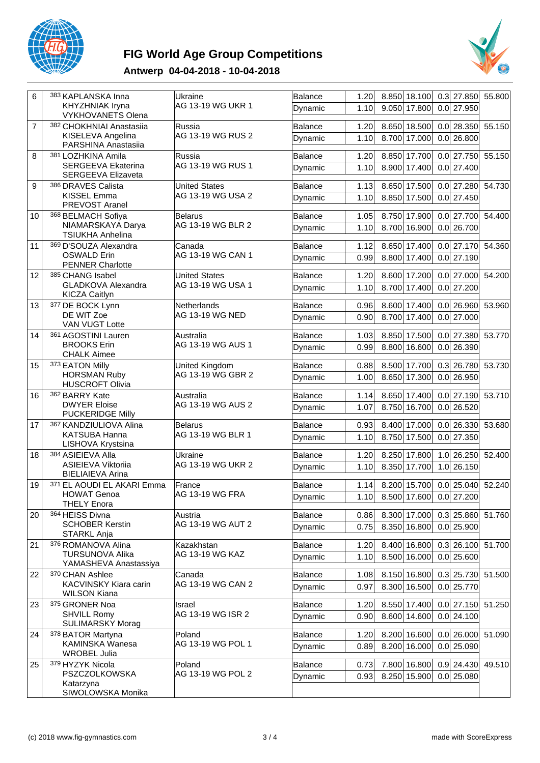

# **FIG World Age Group Competitions**



### **Antwerp 04-04-2018 - 10-04-2018**

| 6  | 383 KAPLANSKA Inna<br><b>KHYZHNIAK Iryna</b><br><b>VYKHOVANETS Olena</b> | Ukraine<br>AG 13-19 WG UKR 1              | Balance<br>Dynamic | 1.20<br>1.10 | 8.850 18.100<br>$0.3$ 27.850<br>9.050 17.800<br>$0.0$ 27.950 | 55.800 |
|----|--------------------------------------------------------------------------|-------------------------------------------|--------------------|--------------|--------------------------------------------------------------|--------|
| 7  | 382 CHOKHNIAI Anastasiia<br>KISELEVA Angelina<br>PARSHINA Anastasiia     | Russia<br>AG 13-19 WG RUS 2               | Balance<br>Dynamic | 1.20<br>1.10 | 8.650 18.500<br>$0.0$ 28.350<br>8.700 17.000<br>$0.0$ 26.800 | 55.150 |
| 8  | 381 LOZHKINA Amila<br>SERGEEVA Ekaterina<br>SERGEEVA Elizaveta           | Russia<br>AG 13-19 WG RUS 1               | Balance<br>Dynamic | 1.20<br>1.10 | 8.850 17.700<br>$0.0$ 27.750<br>8.900 17.400<br>$0.0$ 27.400 | 55.150 |
| 9  | 386 DRAVES Calista<br>KISSEL Emma<br>PREVOST Aranel                      | <b>United States</b><br>AG 13-19 WG USA 2 | Balance<br>Dynamic | 1.13<br>1.10 | 8.650 17.500<br>$0.0$ 27.280<br>8.850 17.500<br>$0.0$ 27.450 | 54.730 |
| 10 | 368 BELMACH Sofiya<br>NIAMARSKAYA Darya<br>TSIUKHA Anhelina              | <b>Belarus</b><br>AG 13-19 WG BLR 2       | Balance<br>Dynamic | 1.05<br>1.10 | 8.750 17.900<br>$0.0$ 27.700<br>8.700 16.900<br>$0.0$ 26.700 | 54.400 |
| 11 | 369 D'SOUZA Alexandra<br><b>OSWALD Erin</b><br><b>PENNER Charlotte</b>   | Canada<br>AG 13-19 WG CAN 1               | Balance<br>Dynamic | 1.12<br>0.99 | 8.650 17.400<br>$0.0$ 27.170<br>$0.0$ 27.190<br>8.800 17.400 | 54.360 |
| 12 | 385 CHANG Isabel<br><b>GLADKOVA Alexandra</b><br>KICZA Caitlyn           | <b>United States</b><br>AG 13-19 WG USA 1 | Balance<br>Dynamic | 1.20<br>1.10 | 8.600 17.200<br>$0.0$ 27.000<br>8.700 17.400<br>$0.0$ 27.200 | 54.200 |
| 13 | 377 DE BOCK Lynn<br>DE WIT Zoe<br><b>VAN VUGT Lotte</b>                  | Netherlands<br>AG 13-19 WG NED            | Balance<br>Dynamic | 0.96<br>0.90 | 8.600 17.400<br>$0.0$ 26.960<br>8.700 17.400<br>$0.0$ 27.000 | 53.960 |
| 14 | 361 AGOSTINI Lauren<br><b>BROOKS Erin</b><br><b>CHALK Aimee</b>          | Australia<br>AG 13-19 WG AUS 1            | Balance<br>Dynamic | 1.03<br>0.99 | 8.850 17.500<br>$0.0$ 27.380<br>8.800 16.600<br>$0.0$ 26.390 | 53.770 |
| 15 | 373 EATON Milly<br><b>HORSMAN Ruby</b><br><b>HUSCROFT Olivia</b>         | United Kingdom<br>AG 13-19 WG GBR 2       | Balance<br>Dynamic | 0.88<br>1.00 | 8.500 17.700<br>$0.3$ 26.780<br>8.650 17.300<br>$0.0$ 26.950 | 53.730 |
| 16 | 362 BARRY Kate<br><b>DWYER Eloise</b><br><b>PUCKERIDGE Milly</b>         | Australia<br>AG 13-19 WG AUS 2            | Balance<br>Dynamic | 1.14<br>1.07 | 8.650 17.400<br>$0.0$ 27.190<br>8.750 16.700<br>$0.0$ 26.520 | 53.710 |
| 17 | 367 KANDZIULIOVA Alina<br><b>KATSUBA Hanna</b><br>LISHOVA Krystsina      | <b>Belarus</b><br>AG 13-19 WG BLR 1       | Balance<br>Dynamic | 0.93<br>1.10 | 8.400 17.000<br>$0.0$ 26.330<br>$0.0$ 27.350<br>8.750 17.500 | 53.680 |
| 18 | 384 ASIEIEVA Alla<br>ASIEIEVA Viktoriia<br><b>BIELIAIEVA Arina</b>       | Ukraine<br>AG 13-19 WG UKR 2              | Balance<br>Dynamic | 1.20<br>1.10 | 8.250 17.800<br>1.0 26.250<br>8.350 17.700<br>1.0 26.150     | 52.400 |
| 19 | 371 EL AOUDI EL AKARI Emma<br><b>HOWAT Genoa</b><br><b>THELY Enora</b>   | France<br>AG 13-19 WG FRA                 | Balance<br>Dynamic | 1.14         | 8.200 15.700<br>$0.0$ 25.040<br>1.10 8.500 17.600 0.0 27.200 | 52.240 |
| 20 | 364 HEISS Divna<br><b>SCHOBER Kerstin</b><br>STARKL Anja                 | Austria<br>AG 13-19 WG AUT 2              | Balance<br>Dynamic | 0.86<br>0.75 | $0.3$ 25.860<br>8.300 17.000<br>8.350 16.800<br>$0.0$ 25.900 | 51.760 |
| 21 | 376 ROMANOVA Alina<br><b>TURSUNOVA Alika</b><br>YAMASHEVA Anastassiya    | Kazakhstan<br> AG 13-19 WG KAZ            | Balance<br>Dynamic | 1.20<br>1.10 | $0.3$ 26.100<br>8.400 16.800<br>$0.0$ 25.600<br>8.500 16.000 | 51.700 |
| 22 | 370 CHAN Ashlee<br>KACVINSKY Kiara carin<br><b>WILSON Kiana</b>          | Canada<br>AG 13-19 WG CAN 2               | Balance<br>Dynamic | 1.08<br>0.97 | $0.3$ 25.730<br>8.150 16.800<br>8.300 16.500<br>$0.0$ 25.770 | 51.500 |
| 23 | 375 GRONER Noa<br><b>SHVILL Romy</b><br><b>SULIMARSKY Morag</b>          | Israel<br>AG 13-19 WG ISR 2               | Balance<br>Dynamic | 1.20<br>0.90 | 8.550 17.400<br>$0.0$ 27.150<br>$0.0$ 24.100<br>8.600 14.600 | 51.250 |
| 24 | 378 BATOR Martyna<br>KAMINSKA Wanesa<br><b>WROBEL Julia</b>              | Poland<br>AG 13-19 WG POL 1               | Balance<br>Dynamic | 1.20<br>0.89 | 8.200 16.600<br>$0.0$ 26.000<br>8.200 16.000<br>$0.0$ 25.090 | 51.090 |
| 25 | 379 HYZYK Nicola<br>PSZCZOLKOWSKA<br>Katarzyna<br>SIWOLOWSKA Monika      | Poland<br>AG 13-19 WG POL 2               | Balance<br>Dynamic | 0.73<br>0.93 | $0.9$ 24.430<br>7.800 16.800<br>$0.0$ 25.080<br>8.250 15.900 | 49.510 |